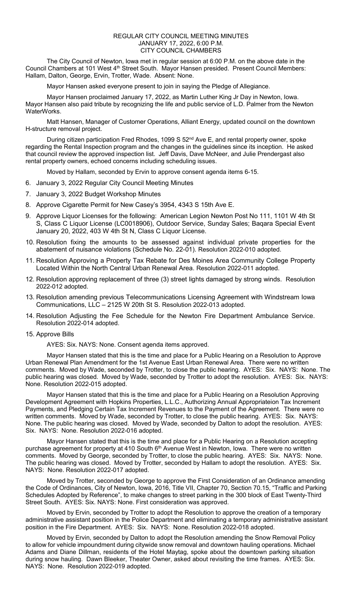## REGULAR CITY COUNCIL MEETING MINUTES JANUARY 17, 2022, 6:00 P.M. CITY COUNCIL CHAMBERS

The City Council of Newton, Iowa met in regular session at 6:00 P.M. on the above date in the Council Chambers at 101 West 4<sup>th</sup> Street South. Mayor Hansen presided. Present Council Members: Hallam, Dalton, George, Ervin, Trotter, Wade. Absent: None.

Mayor Hansen asked everyone present to join in saying the Pledge of Allegiance.

Mayor Hansen proclaimed January 17, 2022, as Martin Luther King Jr Day in Newton, Iowa. Mayor Hansen also paid tribute by recognizing the life and public service of L.D. Palmer from the Newton WaterWorks.

Matt Hansen, Manager of Customer Operations, Alliant Energy, updated council on the downtown H-structure removal project.

During citizen participation Fred Rhodes, 1099 S 52<sup>nd</sup> Ave E, and rental property owner, spoke regarding the Rental Inspection program and the changes in the guidelines since its inception. He asked that council review the approved inspection list. Jeff Davis, Dave McNeer, and Julie Prendergast also rental property owners, echoed concerns including scheduling issues.

Moved by Hallam, seconded by Ervin to approve consent agenda items 6-15.

- 6. January 3, 2022 Regular City Council Meeting Minutes
- 7. January 3, 2022 Budget Workshop Minutes
- 8. Approve Cigarette Permit for New Casey's 3954, 4343 S 15th Ave E.
- 9. Approve Liquor Licenses for the following: American Legion Newton Post No 111, 1101 W 4th St S, Class C Liquor License (LC0018906), Outdoor Service, Sunday Sales; Baqara Special Event January 20, 2022, 403 W 4th St N, Class C Liquor License.
- 10. Resolution fixing the amounts to be assessed against individual private properties for the abatement of nuisance violations (Schedule No. 22-01). Resolution 2022-010 adopted.
- 11. Resolution Approving a Property Tax Rebate for Des Moines Area Community College Property Located Within the North Central Urban Renewal Area. Resolution 2022-011 adopted.
- 12. Resolution approving replacement of three (3) street lights damaged by strong winds. Resolution 2022-012 adopted.
- 13. Resolution amending previous Telecommunications Licensing Agreement with Windstream Iowa Communications, LLC – 2125 W 20th St S. Resolution 2022-013 adopted.
- 14. Resolution Adjusting the Fee Schedule for the Newton Fire Department Ambulance Service. Resolution 2022-014 adopted.

## 15. Approve Bills

AYES: Six. NAYS: None. Consent agenda items approved.

Mayor Hansen stated that this is the time and place for a Public Hearing on a Resolution to Approve Urban Renewal Plan Amendment for the 1st Avenue East Urban Renewal Area. There were no written comments. Moved by Wade, seconded by Trotter, to close the public hearing. AYES: Six. NAYS: None. The public hearing was closed. Moved by Wade, seconded by Trotter to adopt the resolution. AYES: Six. NAYS: None. Resolution 2022-015 adopted.

Mayor Hansen stated that this is the time and place for a Public Hearing on a Resolution Approving Development Agreement with Hopkins Properties, L.L.C., Authorizing Annual Appropriateion Tax Increment Payments, and Pledging Certain Tax Increment Revenues to the Payment of the Agreement. There were no written comments. Moved by Wade, seconded by Trotter, to close the public hearing. AYES: Six. NAYS: None. The public hearing was closed. Moved by Wade, seconded by Dalton to adopt the resolution. AYES: Six. NAYS: None. Resolution 2022-016 adopted.

Mayor Hansen stated that this is the time and place for a Public Hearing on a Resolution accepting purchase agreement for property at 410 South 6<sup>th</sup> Avenue West in Newton, Iowa. There were no written comments. Moved by George, seconded by Trotter, to close the public hearing. AYES: Six. NAYS: None. The public hearing was closed. Moved by Trotter, seconded by Hallam to adopt the resolution. AYES: Six. NAYS: None. Resolution 2022-017 adopted.

Moved by Trotter, seconded by George to approve the First Consideration of an Ordinance amending the Code of Ordinances, City of Newton, Iowa, 2016, Title VII, Chapter 70, Section 70.15, "Traffic and Parking Schedules Adopted by Reference", to make changes to street parking in the 300 block of East Twenty-Third Street South. AYES: Six. NAYS: None. First consideration was approved.

Moved by Ervin, seconded by Trotter to adopt the Resolution to approve the creation of a temporary administrative assistant position in the Police Department and eliminating a temporary administrative assistant position in the Fire Department. AYES: Six. NAYS: None. Resolution 2022-018 adopted.

Moved by Ervin, seconded by Dalton to adopt the Resolution amending the Snow Removal Policy to allow for vehicle impoundment during citywide snow removal and downtown hauling operations. Michael Adams and Diane Dillman, residents of the Hotel Maytag, spoke about the downtown parking situation during snow hauling. Dawn Bleeker, Theater Owner, asked about revisiting the time frames. AYES: Six. NAYS: None. Resolution 2022-019 adopted.